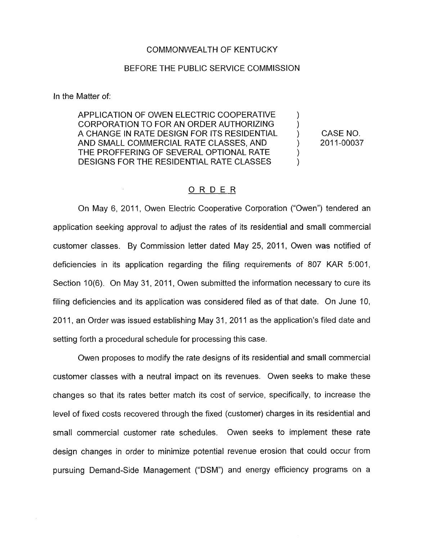## COMMONWEALTH OF KENTUCKY

### BEFORE THE PUBLIC SERVICE COMMISSION

In the Matter of:

APPLICATION OF OWEN ELECTRIC COOPERATIVE CORPORATION TO FOR AN ORDER AUTHORIZING A CHANGE IN RATE DESIGN FOR ITS RESIDENTIAL AND SMALL COMMERCIAL RATE CLASSES, AND (2011-00037) THE PROFFERING OF SEVERAL OPTIONAL RATE DESIGNS FOR THE RESIDENTIAL RATE CLASSES

CASE NO.

)  $\overline{)}$ 

) )

## ORDER

On May 6, 2011, Owen Electric Cooperative Corporation ("Owen") tendered an application seeking approval to adjust the rates of its residential and small commercial customer classes. By Commission letter dated May 25, 2011, Owen was notified of deficiencies in its application regarding the filing requirements *of* 807 KAR 5:001, Section 10(6). On May 31, 2011, Owen submitted the information necessary to cure its filing deficiencies and its application was considered filed as of that date. On June IO, 2011, an Order was issued establishing May 31, 2011 as the application's filed date and setting forth a procedural schedule for processing this case.

Owen proposes to modify the rate designs of its residential and small commercial customer classes with a neutral impact on its revenues. Owen seeks to make these changes so that its rates better match its cost of service, specifically, to increase the level of fixed costs recovered through the fixed (customer) charges in its residential and small commercial customer rate schedules. Owen seeks to implement these rate design changes in order to minimize potential revenue erosion that could occur from pursuing Demand-Side Management ("DSM") and energy efficiency programs on a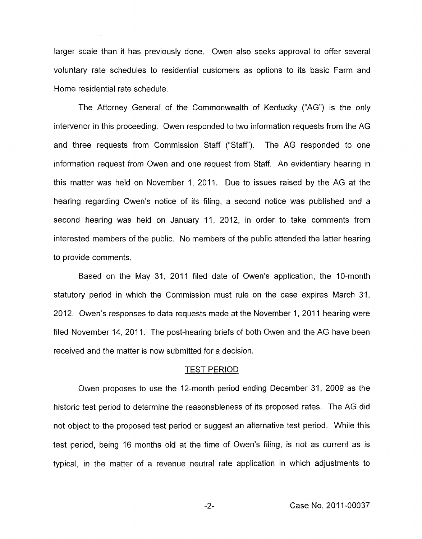larger scale than it has previously done. Owen also seeks approval to offer several voluntary rate schedules to residential customers as options to its basic Farm and Home residential rate schedule.

The Attorney General of the Commonwealth of Kentucky ("AG") is the only intervenor in this proceeding. Owen responded to two information requests from the AG and three requests from Commission Staff ("Staff"). The AG responded to one information request from Owen and one request from Staff. An evidentiary hearing in this matter was held on November 1, 2011. Due to issues raised by the AG at the hearing regarding Owen's notice of its filing, a second notice was published and a second hearing was held on January 11, 2012, in order to take comments from interested members of the public. No members of the public attended the latter hearing to provide comments.

Based on the May 31, 2011 filed date of Owen's application, the IO-month statutory period in which the Commission must rule on the case expires March 31, 2012. Owen's responses to data requests made at the November 1, 2011 hearing were filed November 14, 2011. The post-hearing briefs of both Owen and the AG have been received and the matter is now submitted for a decision.

## TEST PERIOD

Owen proposes to use the 12-month period ending December 31, 2009 as the historic test period to determine the reasonableness of its proposed rates. The AG did not object to the proposed test period or suggest an alternative test period. While this test period, being 16 months old at the time of Owen's filing, is not as current as is typical, in the matter of a revenue neutral rate application in which adjustments to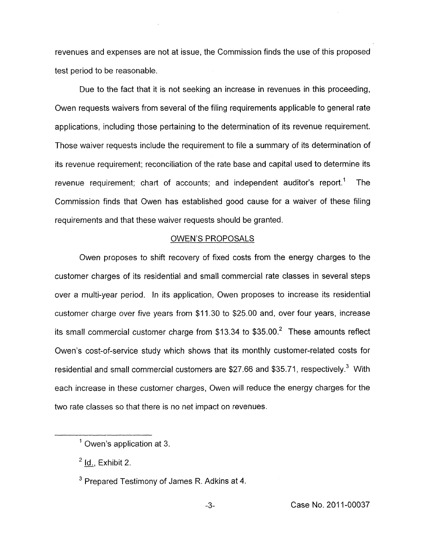revenues and expenses are not at issue, the Commission finds the use of this proposed test period to be reasonable.

Due to the fact that it is not seeking an increase in revenues in this proceeding, Owen requests waivers from several of the filing requirements applicable to general rate applications, including those pertaining to the determination of its revenue requirement. Those waiver requests include the requirement to file a summary of its determination of its revenue requirement; reconciliation of the rate base and capital used to determine its revenue requirement; chart of accounts; and independent auditor's report.' The Commission finds that Owen has established good cause for a waiver of these filing requirements and that these waiver requests should be granted.

## OWEN'S PROPOSALS

Owen proposes to shift recovery of fixed costs from the energy charges to the customer charges of its residential and small commercial rate classes in several steps over a multi-year period. In its application, Owen proposes to increase its residential customer charge over five years from \$11.30 to \$25.00 and, over four years, increase its small commercial customer charge from  $$13.34$  to  $$35.00<sup>2</sup>$  These amounts reflect Owen's cost-of-service study which shows that its monthly customer-related costs for residential and small commercial customers are \$27.66 and \$35.71, respectively. $3$  With each increase in these customer charges, Owen will reduce the energy charges for the two rate classes so that there is no net impact on revenues.

 $<sup>1</sup>$  Owen's application at 3.</sup>

<sup>&</sup>lt;sup>2</sup> **Id., Exhibit 2.** 

<sup>&</sup>lt;sup>3</sup> Prepared Testimony of James R. Adkins at 4.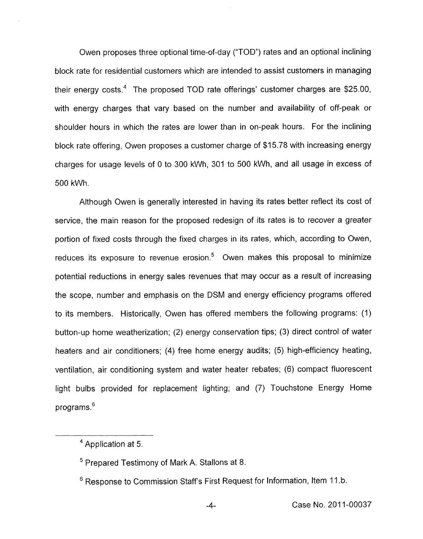Owen proposes three optional time-of-day ("TOD") rates and an optional inclining block rate for residential customers which are intended to assist customers in managing their energy costs.<sup>4</sup> The proposed TOD rate offerings' customer charges are \$25.00, with energy charges that vary based on the number and availability of off-peak or shoulder hours in which the rates are lower than in on-peak hours. For the inclining block rate offering, Owen proposes a customer charge of \$15.78 with increasing energy charges for usage levels of 0 to 300 kWh, 301 to 500 kWh, and all usage in excess of 500 kWh.

Although Owen is generally interested in having its rates better reflect its cost of service, the main reason for the proposed redesign of its rates is to recover a greater portion of fixed costs through the fixed charges in its rates, which, according to Owen, reduces its exposure to revenue erosion. $5$  Owen makes this proposal to minimize potential reductions in energy sales revenues that may occur as a result of increasing the scope, number and emphasis on the DSM and energy efficiency programs offered to its members. Historically, Owen has offered members the following programs: (1) button-up home weatherization; (2) energy conservation tips; (3) direct control of water heaters and air conditioners; (4) free home energy audits; (5) high-efficiency heating, ventilation, air conditioning system and water heater rebates; (6) compact fluorescent light bulbs provided for replacement lighting; and (7) Touchstone Energy Home programs.<sup>6</sup>

<sup>&</sup>lt;sup>4</sup> Application at 5.

 $5$  Prepared Testimony of Mark A. Stallons at 8.

<sup>&</sup>lt;sup>6</sup> Response to Commission Staff's First Request for Information, Item 11.b.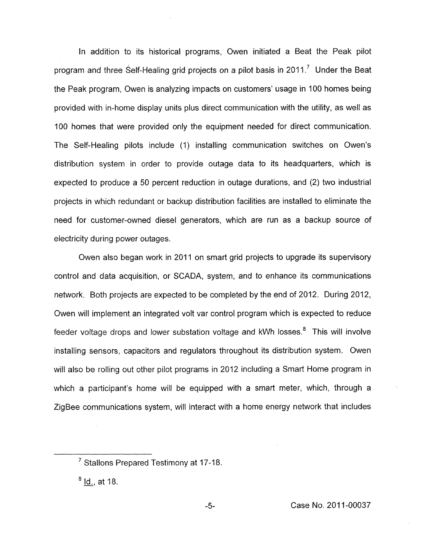In addition to its historical programs, Owen initiated a Beat the Peak pilot program and three Self-Healing grid projects on a pilot basis in 2011.<sup>7</sup> Under the Beat the Peak program, Owen is analyzing impacts on customers' usage in 100 homes being provided with in-home display units plus direct communication with the utility, as well as 100 homes that were provided only the equipment needed for direct communication. The Self-Healing pilots include (I) installing communication switches on Owen's distribution system in order to provide outage data to its headquarters, which is expected to produce a 50 percent reduction in outage durations, and (2) two industrial projects in which redundant or backup distribution facilities are installed to eliminate the need for customer-owned diesel generators, which are run as a backup source of electricity during power outages.

Owen also began work in 2011 on smart grid projects to upgrade its supervisory control and data acquisition, or SCADA, system, and to enhance its communications network. Both projects are expected to be completed by the end of 2012. During 2012, Owen will implement an integrated volt var control program which is expected to reduce feeder voltage drops and lower substation voltage and kWh losses.<sup>8</sup> This will involve installing sensors, capacitors and regulators throughout its distribution system. Owen will also be rolling out other pilot programs in 2012 including a Smart Home program in which a participant's home will be equipped with a smart meter, which, through a ZigBee communications system, will interact with a home energy network that includes

Stallons Prepared Testimony at 17-18.<br><u>Id.,</u> at 18.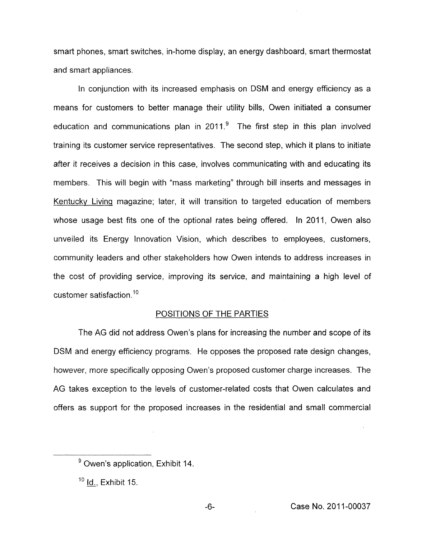smart phones, smart switches, in-home display, an energy dashboard, smart thermostat and smart appliances.

In conjunction with its increased emphasis on DSM and energy efficiency as a means for customers to better manage their utility bills, Owen initiated a consumer education and communications plan in 2011. $9$  The first step in this plan involved training its customer service representatives. The second step, which it plans to initiate after it receives a decision in this case, involves communicating with and educating its members. This will begin with "mass marketing" through bill inserts and messages in Kentucky Living magazine; later, it will transition to targeted education of members whose usage best fits one of the optional rates being offered. In 2011, Owen also unveiled its Energy Innovation Vision, which describes to employees, customers, community leaders and other stakeholders how Owen intends to address increases in the cost of providing service, improving its service, and maintaining a high level of customer satisfaction.<sup>10</sup>

## POSITIONS OF THE PARTIES

The AG did not address Owen's plans for increasing the number and scope of its DSM and energy efficiency programs. He opposes the proposed rate design changes, however, more specifically opposing Owen's proposed customer charge increases. The AG takes exception to the levels of customer-related costs that Owen calculates and offers as support for the proposed increases in the residential and small commercial

<sup>&</sup>lt;sup>9</sup> Owen's application, Exhibit 14.

<sup>&</sup>lt;sup>10</sup> Id., Exhibit 15.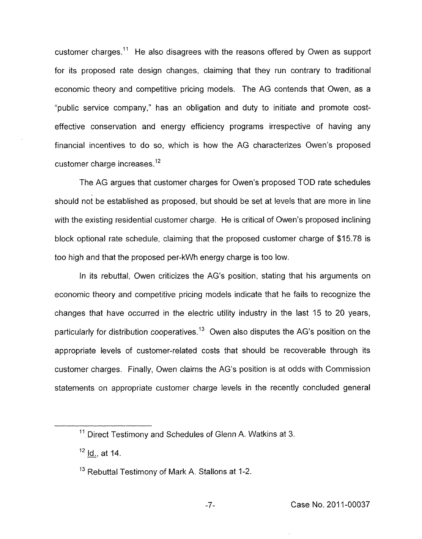customer charges.<sup>11</sup> He also disagrees with the reasons offered by Owen as support for its proposed rate design changes, claiming that they run contrary to traditional economic theory and competitive pricing models. The AG contends that Owen, as a "public service company," has an obligation and duty to initiate and promote costeffective conservation and energy efficiency programs irrespective of having any financial incentives to do so, which is how the AG characterizes Owen's proposed customer charge increases.<sup>12</sup>

The AG argues that customer charges for Owen's proposed TOD rate schedules should not be established as proposed, but should be set at levels that are more in line with the existing residential customer charge. He is critical of Owen's proposed inclining block optional rate schedule, claiming that the proposed customer charge of \$15.78 is too high and that the proposed per-kWh energy charge is too low.

In its rebuttal, Owen criticizes the AG's position, stating that his arguments on economic theory and competitive pricing models indicate that he fails to recognize the changes that have occurred in the electric utility industry in the last 15 to 20 years, particularly for distribution cooperatives.<sup>13</sup> Owen also disputes the AG's position on the appropriate levels of customer-related costs that should be recoverable through its customer charges. Finally, Owen claims the AG's position is at odds with Commission statements on appropriate customer charge levels in the recently concluded general

 $11$  Direct Testimony and Schedules of Glenn A. Watkins at 3.

 $12$  Id., at 14.

 $13$  Rebuttal Testimony of Mark A. Stallons at 1-2.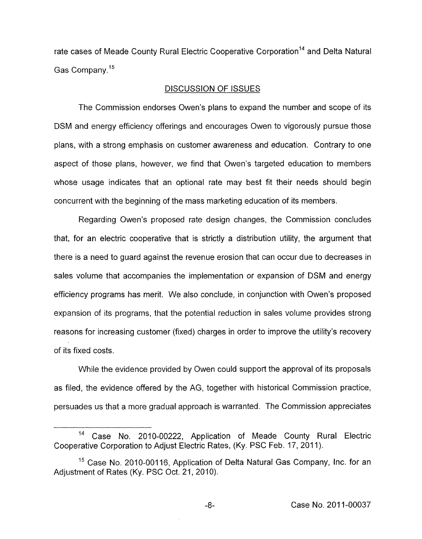rate cases of Meade County Rural Electric Cooperative Corporation<sup>14</sup> and Delta Natural Gas Company.15

#### DISCUSSION OF ISSUES

The Commission endorses Owen's plans to expand the number and scope of its DSM and energy efficiency offerings and encourages Owen to vigorously pursue those plans, with a strong emphasis on customer awareness and education. Contrary to one aspect of those plans, however, we find that Owen's targeted education to members whose usage indicates that an optional rate may best fit their needs should begin concurrent with the beginning of the mass marketing education of its members.

Regarding Owen's proposed rate design changes, the Commission concludes that, for an electric cooperative that is strictly a distribution utility, the argument that there is a need to guard against the revenue erosion that can occur due to decreases in sales volume that accompanies the implementation or expansion of DSM and energy efficiency programs has merit. We also conclude, in conjunction with Owen's proposed expansion of its programs, that the potential reduction in sales volume provides strong reasons for increasing customer (fixed) charges in order to improve the utility's recovery of its fixed costs.

While the evidence provided by Owen could support the approval of its proposals as filed, the evidence offered by the AG, together with historical Commission practice, persuades us that a more gradual approach is warranted. The Commission appreciates

<sup>&</sup>lt;sup>14</sup> Case No. 2010-00222, Application of Meade County Rural Electric Cooperative Corporation to Adjust Electric Rates, (Ky. PSC Feb. 17, 2011).

<sup>&</sup>lt;sup>15</sup> Case No. 2010-00116, Application of Delta Natural Gas Company, Inc. for an Adjustment of Rates (Ky. PSC Oct. 21, 2010).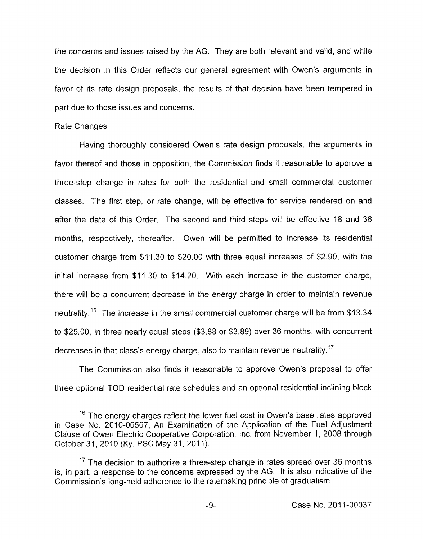the concerns and issues raised by the AG. They are both relevant and valid, and while the decision in this Order reflects our general agreement with Owen's arguments in favor of its rate design proposals, the results of that decision have been tempered in part due to those issues and concerns.

#### Rate Changes

Having thoroughly considered Owen's rate design proposals, the arguments in favor thereof and those in opposition, the Commission finds it reasonable to approve a three-step change in rates for both the residential and small commercial customer classes. The first step, or rate change, will be effective for service rendered on and after the date of this Order. The second and third steps will be effective 18 and 36 months, respectively, thereafter. Owen will be permitted to increase its residential customer charge from \$11.30 to \$20.00 with three equal increases of \$2.90, with the initial increase from \$11.30 to \$14.20. With each increase in the customer charge, there will be a concurrent decrease in the energy charge in order to maintain revenue neutrality.<sup>16</sup> The increase in the small commercial customer charge will be from \$13.34 to \$25.00, in three nearly equal steps (\$3.88 or \$3.89) over 36 months, with concurrent decreases in that class's energy charge, also to maintain revenue neutrality.<sup>17</sup>

The Commission also finds it reasonable to approve Owen's proposal to offer three optional TOD residential rate schedules and an optional residential inclining block

 $16$  The energy charges reflect the lower fuel cost in Owen's base rates approved in Case No. 2010-00507, An Examination of the Application of the Fuel Adjustment Clause of Owen Electric Cooperative Corporation, Inc. from November 1, 2008 through October 31, 2010 (Ky. PSC May 31, 2011).

 $17$  The decision to authorize a three-step change in rates spread over 36 months is, in part, a response to the concerns expressed by the AG. It is also indicative of the Commission's long-held adherence to the ratemaking principle of gradualism.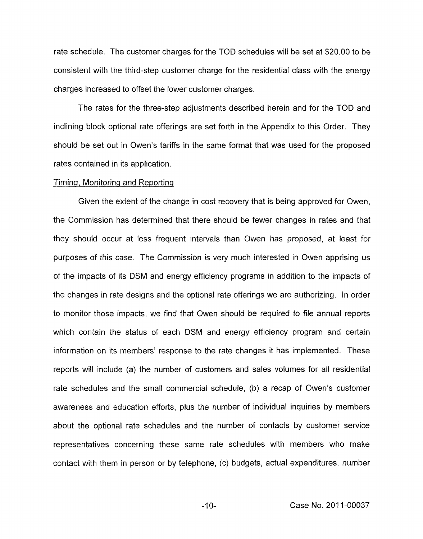rate schedule. The customer charges for the TOD schedules will be set at \$20.00 to be consistent with the third-step customer charge for the residential class with the energy charges increased to offset the lower customer charges.

The rates for the three-step adjustments described herein and for the TOD and inclining block optional rate offerings are set forth in the Appendix to this Order. They should be set out in Owen's tariffs in the same format that was used for the proposed rates contained in its application.

#### Timing, Monitoring and Reporting

Given the extent of the change in cost recovery that is being approved for Owen, the Commission has determined that there should be fewer changes in rates and that they should occur at less frequent intervals than Owen has proposed, at least for purposes of this case. The Commission is very much interested in Owen apprising us of the impacts of its DSM and energy efficiency programs in addition to the impacts of the changes in rate designs and the optional rate offerings we are authorizing. In order to monitor those impacts, we find that Owen should be required to file annual reports which contain the status of each DSM and energy efficiency program and certain information on its members' response to the rate changes it has implemented. These reports will include (a) the number of customers and sales volumes for all residential rate schedules and the small commercial schedule, (b) a recap of Owen's customer awareness and education efforts, plus the number of individual inquiries by members about the optional rate schedules and the number of contacts by customer service representatives concerning these same rate schedules with members who make contact with them in person or by telephone, (c) budgets, actual expenditures, number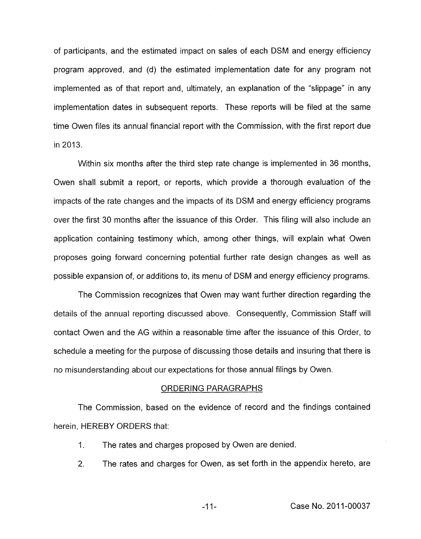of participants, and the estimated impact on sales of each DSM and energy efficiency program approved, and (d) the estimated implementation date for any program not implemented as of that report and, ultimately, an explanation of the "slippage" in any implementation dates in subsequent reports. These reports will be filed at the same time Owen files its annual financial report with the Commission, with the first report due in 2013.

Within six months after the third step rate change is implemented in 36 months, Owen shall submit a report, or reports, which provide a thorough evaluation of the impacts of the rate changes and the impacts of its DSM and energy efficiency programs over the first 30 months after the issuance of this Order. This filing will also include an application containing testimony which, among other things, will explain what Owen proposes going forward concerning potential further rate design changes as well as possible expansion of, or additions to, its menu of **DSM** and energy efficiency programs.

The Commission recognizes that Owen may want further direction regarding the details of the annual reporting discussed above. Consequently, Commission Staff will contact Owen and the AG within a reasonable time after the issuance of this Order, to schedule a meeting for the purpose of discussing those details and insuring that there is no misunderstanding about our expectations for those annual filings by Owen.

#### ORDERING PARAGRAPHS

The Commission, based on the evidence of record and the findings contained herein, HEREBY ORDERS that:

- 1. The rates and charges proposed by Owen are denied.
- 2. The rates and charges for Owen, as set forth in the appendix hereto, are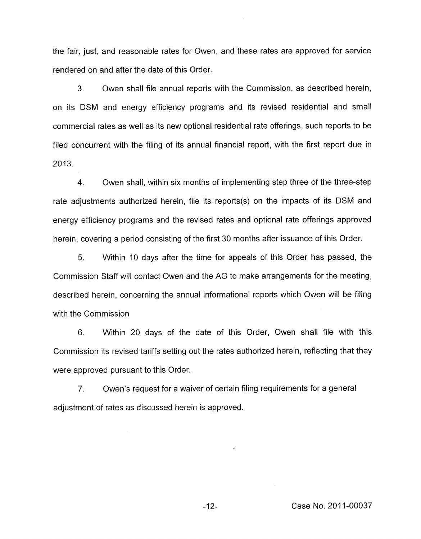the fair, just, and reasonable rates for Owen, and these rates are approved for service rendered on and after the date of this Order.

**3.** Owen shall file annual reports with the Commission, as described herein, on its DSM and energy efficiency programs and its revised residential and small commercial rates as well as its new optional residential rate offerings, such reports to be filed concurrent with the filing of its annual financial report, with the first report due in 2013.

**4.** Owen shall, within six months of implementing step three of the three-step rate adjustments authorized herein, file its reports(s) on the impacts of its DSM and energy efficiency programs and the revised rates and optional rate offerings approved herein, covering a period consisting of the first 30 months after issuance of this Order.

5. Within 10 days after the time for appeals of this Order has passed, the Commission Staff will contact Owen and the AG to make arrangements for the meeting, described herein, concerning the annual informational reports which Owen will be filing with the Commission

6. Within 20 days of the date of this Order, Owen shall file with this Commission its revised tariffs setting out the rates authorized herein, reflecting that they were approved pursuant to this Order.

7. Owen's request for a waiver of certain filing requirements for a general adjustment of rates as discussed herein is approved.

-12- Case No. 2011-00037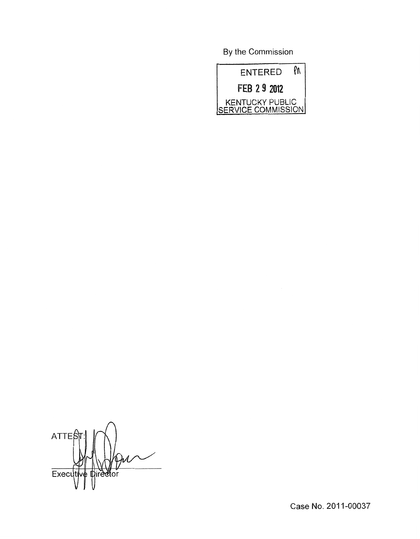By the Commission



ATTE  $\frac{1}{\sqrt{1-\frac{1}{2}}}$ Executiv **Director** VI! u

Case No. 2011-00037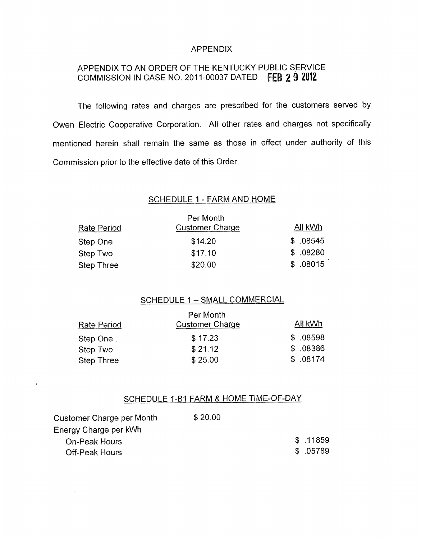# APPENDIX

# APPENDIX TO AN ORDER OF THE KENTUCKY PUBLIC SERVICE COMMISSION IN CASE NO. 2011-00037 DATED FEB 2 9 2012

The following rates and charges are prescribed for the customers served by Owen Electric Cooperative Corporation. All other rates and charges not specifically mentioned herein shall remain the same as those in effect under authority of this Commission prior to the effective date of this Order.

# SCHEDULE 1 - FARM AND HOME

| Rate Period | Per Month<br><b>Customer Charge</b> | All kWh  |
|-------------|-------------------------------------|----------|
| Step One    | \$14.20                             | \$.08545 |
| Step Two    | \$17.10                             | \$.08280 |
| Step Three  | \$20.00                             | \$.08015 |

# SCHEDULE 1 - SMALL COMMERCIAL

| Rate Period | Per Month<br><b>Customer Charge</b> | All kWh  |
|-------------|-------------------------------------|----------|
| Step One    | \$17.23                             | \$.08598 |
| Step Two    | \$21.12                             | \$.08386 |
| Step Three  | \$25.00                             | \$.08174 |

# SCHEDULE 1-B1 FARM & HOME TIME-OF-DAY

| Customer Charge per Month | \$20.00 |           |
|---------------------------|---------|-----------|
| Energy Charge per kWh     |         |           |
| On-Peak Hours             |         | \$.11859  |
| Off-Peak Hours            |         | \$ .05789 |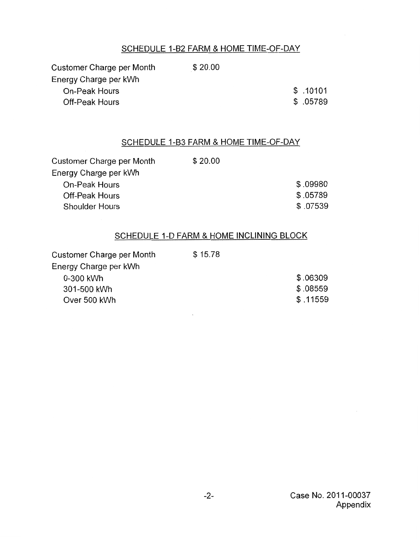# SCHEDULE 1-B2 FARM & HOME TIME-OF-DAY

Customer Charge per Month \$20.00 Energy Charge per kWh On-Peak Hours Off-peak Hours

\$ .10101

\$ .05789

## SCHEDULE 1-B3 FARM & HOME TIME-OF-DAY

| Customer Charge per Month | \$20.00 |           |
|---------------------------|---------|-----------|
| Energy Charge per kWh     |         |           |
| On-Peak Hours             |         | \$.09980  |
| Off-Peak Hours            |         | \$.05789  |
| <b>Shoulder Hours</b>     |         | \$ .07539 |

# SCHEDULE 1-D FARM & HOME INCLINING BLOCK

| Customer Charge per Month | \$15.78 |          |
|---------------------------|---------|----------|
| Energy Charge per kWh     |         |          |
| 0-300 kWh                 |         | \$.06309 |
| 301-500 kWh               |         | \$.08559 |
| Over 500 kWh              |         | \$.11559 |

 $\sim$